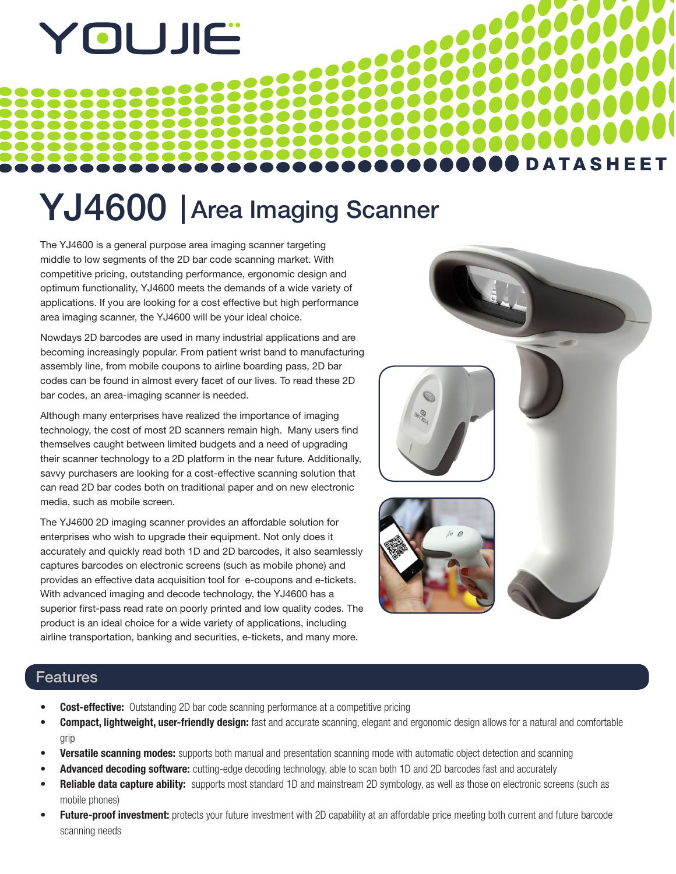# YOUJIË

# YJ4600 | Area Imaging Scanner

The YJ4600 is a general purpose area imaging scanner targeting middle to low segments of the 2D bar code scanning market. With competitive pricing, outstanding performance, ergonomic design and optimum functionality, YJ4600 meets the demands of a wide variety of applications. If you are looking for a cost effective but high performance area imaging scanner, the YJ4600 will be your ideal choice.

Nowdays 2D barcodes are used in many industrial applications and are becoming increasingly popular. From patient wrist band to manufacturing assembly line, from mobile coupons to airline boarding pass, 2D bar codes can be found in almost every facet of our lives. To read these 2D bar codes, an area-imaging scanner is needed.

Although many enterprises have realized the importance of imaging technology, the cost of most 2D scanners remain high. Many users find themselves caught between limited budgets and a need of upgrading their scanner technology to a 2D platform in the near future. Additionally, savvy purchasers are looking for a cost-effective scanning solution that can read 2D bar codes both on traditional paper and on new electronic media, such as mobile screen.

The YJ4600 2D imaging scanner provides an affordable solution for enterprises who wish to upgrade their equipment. Not only does it accurately and quickly read both 1D and 2D barcodes, it also seamlessly captures barcodes on electronic screens (such as mobile phone) and provides an effective data acquisition tool for e-coupons and e-tickets. With advanced imaging and decode technology, the YJ4600 has a superior first-pass read rate on poorly printed and low quality codes. The product is an ideal choice for a wide variety of applications, including airline transportation, banking and securities, e-tickets, and many more.



### Features

- **Cost-effective:** Outstanding 2D bar code scanning performance at a competitive pricing
- **Compact, lightweight, user-friendly design:** fast and accurate scanning, elegant and ergonomic design allows for a natural and comfortable grip
- **Versatile scanning modes:** supports both manual and presentation scanning mode with automatic object detection and scanning
- **Advanced decoding software:** cutting-edge decoding technology, able to scan both 1D and 2D barcodes fast and accurately
- **Reliable data capture ability:** supports most standard 1D and mainstream 2D symbology, as well as those on electronic screens (such as mobile phones)
- **Future-proof investment:** protects your future investment with 2D capability at an affordable price meeting both current and future barcode scanning needs